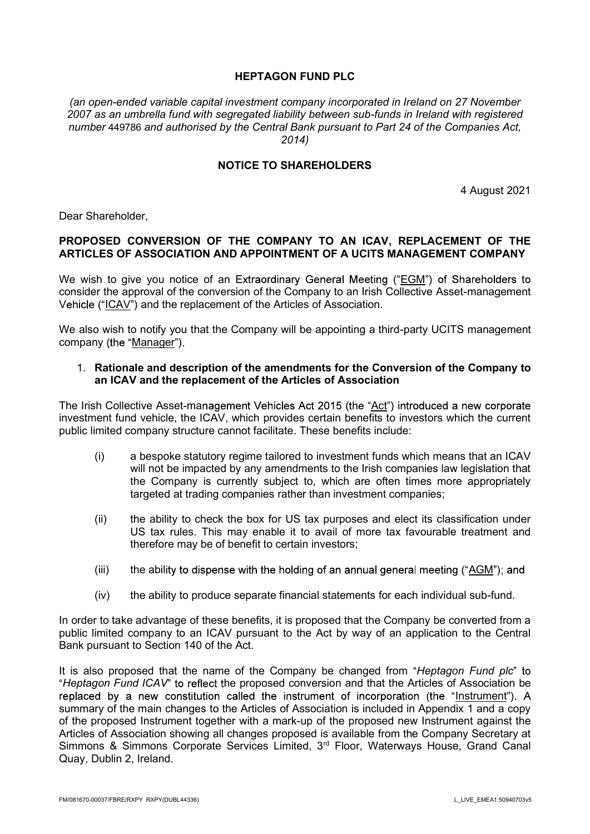# HEPTAGON FUND PLC

(an open-ended variable capital investment company incorporated in Ireland on 27 November 2007 as an umbrella fund with segregated liability between sub-funds in Ireland with registered number 449786 and authorised by the Central Bank pursuant to Part 24 of the Companies Act, 2014)

#### NOTICE TO SHAREHOLDERS

4 August 2021

Dear Shareholder,

#### PROPOSED CONVERSION OF THE COMPANY TO AN ICAV, REPLACEMENT OF THE ARTICLES OF ASSOCIATION AND APPOINTMENT OF A UCITS MANAGEMENT COMPANY

We wish to give you notice of an Extraordinary General Meeting ("EGM") of Shareholders to consider the approval of the conversion of the Company to an Irish Collective Asset-management Vehicle ("ICAV") and the replacement of the Articles of Association.

We also wish to notify you that the Company will be appointing a third-party UCITS management company (the "Manager").

#### 1. Rationale and description of the amendments for the Conversion of the Company to an ICAV and the replacement of the Articles of Association

The Irish Collective Asset-management Vehicles Act 2015 (the "Act") introduced a new corporate investment fund vehicle, the ICAV, which provides certain benefits to investors which the current public limited company structure cannot facilitate. These benefits include:

- (i) a bespoke statutory regime tailored to investment funds which means that an ICAV will not be impacted by any amendments to the Irish companies law legislation that the Company is currently subject to, which are often times more appropriately targeted at trading companies rather than investment companies;
- (ii) the ability to check the box for US tax purposes and elect its classification under US tax rules. This may enable it to avail of more tax favourable treatment and therefore may be of benefit to certain investors;
- (iii) the ability to dispense with the holding of an annual general meeting  $(4G/M^2)$ ; and
- (iv) the ability to produce separate financial statements for each individual sub-fund.

In order to take advantage of these benefits, it is proposed that the Company be converted from a public limited company to an ICAV pursuant to the Act by way of an application to the Central Bank pursuant to Section 140 of the Act.

It is also proposed that the name of the Company be changed from "Heptagon Fund plc" to "Heptagon Fund ICAV" to reflect the proposed conversion and that the Articles of Association be replaced by a new constitution called the instrument of incorporation (the "Instrument"). A summary of the main changes to the Articles of Association is included in Appendix 1 and a copy of the proposed Instrument together with a mark-up of the proposed new Instrument against the Articles of Association showing all changes proposed is available from the Company Secretary at Simmons & Simmons Corporate Services Limited, 3<sup>rd</sup> Floor, Waterways House, Grand Canal Quay, Dublin 2, Ireland.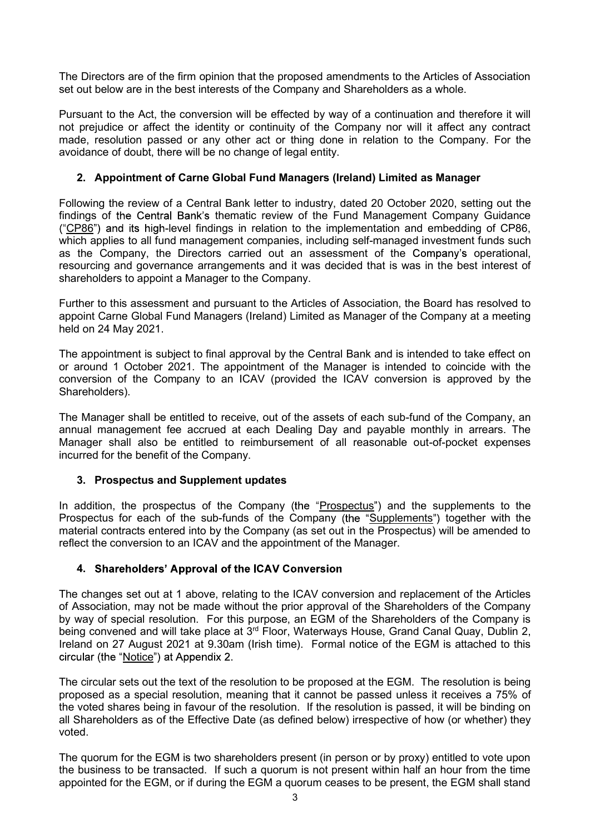The Directors are of the firm opinion that the proposed amendments to the Articles of Association set out below are in the best interests of the Company and Shareholders as a whole.

Pursuant to the Act, the conversion will be effected by way of a continuation and therefore it will not prejudice or affect the identity or continuity of the Company nor will it affect any contract made, resolution passed or any other act or thing done in relation to the Company. For the avoidance of doubt, there will be no change of legal entity.

# 2. Appointment of Carne Global Fund Managers (Ireland) Limited as Manager

Following the review of a Central Bank letter to industry, dated 20 October 2020, setting out the findings of the Central Bank's thematic review of the Fund Management Company Guidance ("CP86") and its high-level findings in relation to the implementation and embedding of CP86, which applies to all fund management companies, including self-managed investment funds such as the Company, the Directors carried out an assessment of the Company's operational, resourcing and governance arrangements and it was decided that is was in the best interest of shareholders to appoint a Manager to the Company.

Further to this assessment and pursuant to the Articles of Association, the Board has resolved to appoint Carne Global Fund Managers (Ireland) Limited as Manager of the Company at a meeting held on 24 May 2021.

The appointment is subject to final approval by the Central Bank and is intended to take effect on or around 1 October 2021. The appointment of the Manager is intended to coincide with the conversion of the Company to an ICAV (provided the ICAV conversion is approved by the Shareholders).

The Manager shall be entitled to receive, out of the assets of each sub-fund of the Company, an annual management fee accrued at each Dealing Day and payable monthly in arrears. The Manager shall also be entitled to reimbursement of all reasonable out-of-pocket expenses incurred for the benefit of the Company.

# 3. Prospectus and Supplement updates

In addition, the prospectus of the Company (the "Prospectus") and the supplements to the Prospectus for each of the sub-funds of the Company (the "Supplements") together with the material contracts entered into by the Company (as set out in the Prospectus) will be amended to reflect the conversion to an ICAV and the appointment of the Manager.

# 4. Shareholders' Approval of the ICAV Conversion

The changes set out at 1 above, relating to the ICAV conversion and replacement of the Articles of Association, may not be made without the prior approval of the Shareholders of the Company by way of special resolution. For this purpose, an EGM of the Shareholders of the Company is being convened and will take place at 3<sup>rd</sup> Floor, Waterways House, Grand Canal Quay, Dublin 2, Ireland on 27 August 2021 at 9.30am (Irish time). Formal notice of the EGM is attached to this circular (the "Notice") at Appendix 2.

The circular sets out the text of the resolution to be proposed at the EGM. The resolution is being proposed as a special resolution, meaning that it cannot be passed unless it receives a 75% of the voted shares being in favour of the resolution. If the resolution is passed, it will be binding on all Shareholders as of the Effective Date (as defined below) irrespective of how (or whether) they voted.

The quorum for the EGM is two shareholders present (in person or by proxy) entitled to vote upon the business to be transacted. If such a quorum is not present within half an hour from the time appointed for the EGM, or if during the EGM a quorum ceases to be present, the EGM shall stand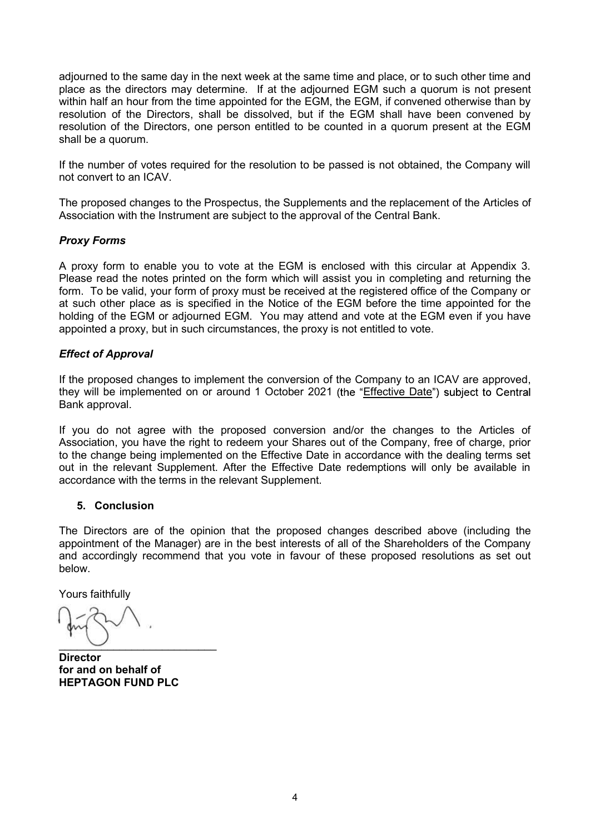adjourned to the same day in the next week at the same time and place, or to such other time and place as the directors may determine. If at the adjourned EGM such a quorum is not present within half an hour from the time appointed for the EGM, the EGM, if convened otherwise than by resolution of the Directors, shall be dissolved, but if the EGM shall have been convened by resolution of the Directors, one person entitled to be counted in a quorum present at the EGM shall be a quorum.

If the number of votes required for the resolution to be passed is not obtained, the Company will not convert to an ICAV.

The proposed changes to the Prospectus, the Supplements and the replacement of the Articles of Association with the Instrument are subject to the approval of the Central Bank.

# Proxy Forms

A proxy form to enable you to vote at the EGM is enclosed with this circular at Appendix 3. Please read the notes printed on the form which will assist you in completing and returning the form. To be valid, your form of proxy must be received at the registered office of the Company or at such other place as is specified in the Notice of the EGM before the time appointed for the holding of the EGM or adjourned EGM. You may attend and vote at the EGM even if you have appointed a proxy, but in such circumstances, the proxy is not entitled to vote.

#### Effect of Approval

If the proposed changes to implement the conversion of the Company to an ICAV are approved, they will be implemented on or around 1 October 2021 (the "Effective Date") subject to Central Bank approval.

If you do not agree with the proposed conversion and/or the changes to the Articles of Association, you have the right to redeem your Shares out of the Company, free of charge, prior to the change being implemented on the Effective Date in accordance with the dealing terms set out in the relevant Supplement. After the Effective Date redemptions will only be available in accordance with the terms in the relevant Supplement.

# 5. Conclusion

The Directors are of the opinion that the proposed changes described above (including the appointment of the Manager) are in the best interests of all of the Shareholders of the Company and accordingly recommend that you vote in favour of these proposed resolutions as set out below.

Yours faithfully \_\_\_\_\_\_\_\_\_\_\_\_\_\_\_\_\_\_\_\_\_\_\_\_\_\_

Director for and on behalf of HEPTAGON FUND PLC